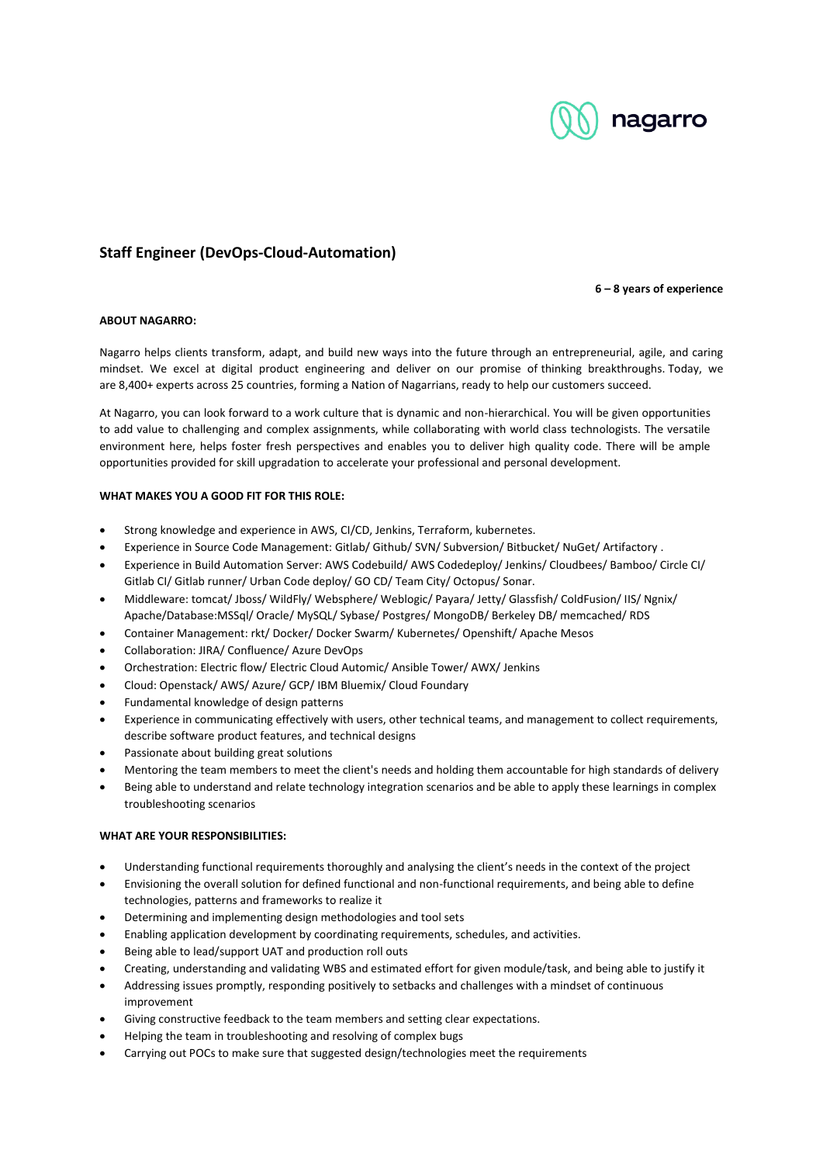

# **Staff Engineer (DevOps-Cloud-Automation)**

### **6 – 8 years of experience**

## **ABOUT NAGARRO:**

Nagarro helps clients transform, adapt, and build new ways into the future through an entrepreneurial, agile, and caring mindset. We excel at digital product engineering and deliver on our promise of thinking breakthroughs. Today, we are 8,400+ experts across 25 countries, forming a Nation of Nagarrians, ready to help our customers succeed.

At Nagarro, you can look forward to a work culture that is dynamic and non-hierarchical. You will be given opportunities to add value to challenging and complex assignments, while collaborating with world class technologists. The versatile environment here, helps foster fresh perspectives and enables you to deliver high quality code. There will be ample opportunities provided for skill upgradation to accelerate your professional and personal development.

# **WHAT MAKES YOU A GOOD FIT FOR THIS ROLE:**

- Strong knowledge and experience in AWS, CI/CD, Jenkins, Terraform, kubernetes.
- Experience in Source Code Management: Gitlab/ Github/ SVN/ Subversion/ Bitbucket/ NuGet/ Artifactory .
- Experience in Build Automation Server: AWS Codebuild/ AWS Codedeploy/ Jenkins/ Cloudbees/ Bamboo/ Circle CI/ Gitlab CI/ Gitlab runner/ Urban Code deploy/ GO CD/ Team City/ Octopus/ Sonar.
- Middleware: tomcat/ Jboss/ WildFly/ Websphere/ Weblogic/ Payara/ Jetty/ Glassfish/ ColdFusion/ IIS/ Ngnix/ Apache/Database:MSSql/ Oracle/ MySQL/ Sybase/ Postgres/ MongoDB/ Berkeley DB/ memcached/ RDS
- Container Management: rkt/ Docker/ Docker Swarm/ Kubernetes/ Openshift/ Apache Mesos
- Collaboration: JIRA/ Confluence/ Azure DevOps
- Orchestration: Electric flow/ Electric Cloud Automic/ Ansible Tower/ AWX/ Jenkins
- Cloud: Openstack/ AWS/ Azure/ GCP/ IBM Bluemix/ Cloud Foundary
- Fundamental knowledge of design patterns
- Experience in communicating effectively with users, other technical teams, and management to collect requirements, describe software product features, and technical designs
- Passionate about building great solutions
- Mentoring the team members to meet the client's needs and holding them accountable for high standards of delivery
- Being able to understand and relate technology integration scenarios and be able to apply these learnings in complex troubleshooting scenarios

## **WHAT ARE YOUR RESPONSIBILITIES:**

- Understanding functional requirements thoroughly and analysing the client's needs in the context of the project
- Envisioning the overall solution for defined functional and non-functional requirements, and being able to define technologies, patterns and frameworks to realize it
- Determining and implementing design methodologies and tool sets
- Enabling application development by coordinating requirements, schedules, and activities.
- Being able to lead/support UAT and production roll outs
- Creating, understanding and validating WBS and estimated effort for given module/task, and being able to justify it
- Addressing issues promptly, responding positively to setbacks and challenges with a mindset of continuous improvement
- Giving constructive feedback to the team members and setting clear expectations.
- Helping the team in troubleshooting and resolving of complex bugs
- Carrying out POCs to make sure that suggested design/technologies meet the requirements